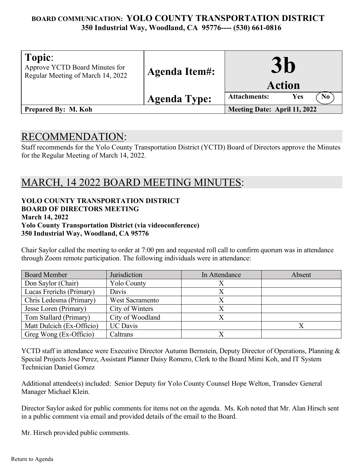## **BOARD COMMUNICATION: YOLO COUNTY TRANSPORTATION DISTRICT 350 Industrial Way, Woodland, CA 95776---- (530) 661-0816**

| Topic:<br>Approve YCTD Board Minutes for<br>Regular Meeting of March 14, 2022 | <b>Agenda Item#:</b> | $\mathbf{30}$<br><b>Action</b>               |
|-------------------------------------------------------------------------------|----------------------|----------------------------------------------|
|                                                                               | <b>Agenda Type:</b>  | <b>Attachments:</b><br>Yes<br>N <sub>0</sub> |
| <b>Prepared By: M. Koh</b>                                                    |                      | Meeting Date: April 11, 2022                 |

## RECOMMENDATION:

Staff recommends for the Yolo County Transportation District (YCTD) Board of Directors approve the Minutes for the Regular Meeting of March 14, 2022.

# MARCH, 14 2022 BOARD MEETING MINUTES:

| YOLO COUNTY TRANSPORTATION DISTRICT                              |
|------------------------------------------------------------------|
| <b>BOARD OF DIRECTORS MEETING</b>                                |
| <b>March 14, 2022</b>                                            |
| <b>Yolo County Transportation District (via videoconference)</b> |
| 350 Industrial Way, Woodland, CA 95776                           |

Chair Saylor called the meeting to order at 7:00 pm and requested roll call to confirm quorum was in attendance through Zoom remote participation. The following individuals were in attendance:

| <b>Board Member</b>       | Jurisdiction       | In Attendance | Absent |
|---------------------------|--------------------|---------------|--------|
| Don Saylor (Chair)        | <b>Yolo County</b> |               |        |
| Lucas Frerichs (Primary)  | Davis              |               |        |
| Chris Ledesma (Primary)   | West Sacramento    |               |        |
| Jesse Loren (Primary)     | City of Winters    |               |        |
| Tom Stallard (Primary)    | City of Woodland   |               |        |
| Matt Dulcich (Ex-Officio) | <b>UC</b> Davis    |               |        |
| Greg Wong (Ex-Officio)    | Caltrans           |               |        |

YCTD staff in attendance were Executive Director Autumn Bernstein, Deputy Director of Operations, Planning & Special Projects Jose Perez, Assistant Planner Daisy Romero, Clerk to the Board Mimi Koh, and IT System Technician Daniel Gomez

Additional attendee(s) included: Senior Deputy for Yolo County Counsel Hope Welton, Transdev General Manager Michael Klein.

Director Saylor asked for public comments for items not on the agenda. Ms. Koh noted that Mr. Alan Hirsch sent in a public comment via email and provided details of the email to the Board.

Mr. Hirsch provided public comments.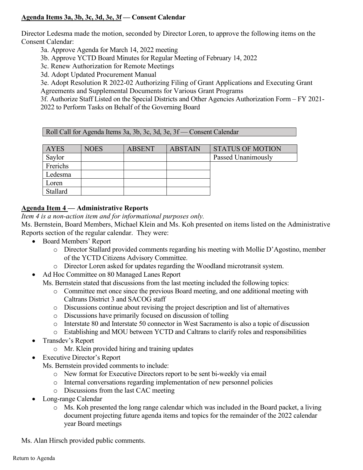#### **Agenda Items 3a, 3b, 3c, 3d, 3e, 3f — Consent Calendar**

Director Ledesma made the motion, seconded by Director Loren, to approve the following items on the Consent Calendar:

3a. Approve Agenda for March 14, 2022 meeting

3b. Approve YCTD Board Minutes for Regular Meeting of February 14, 2022

3c. Renew Authorization for Remote Meetings

3d. Adopt Updated Procurement Manual

3e. Adopt Resolution R 2022-02 Authorizing Filing of Grant Applications and Executing Grant Agreements and Supplemental Documents for Various Grant Programs

3f. Authorize Staff Listed on the Special Districts and Other Agencies Authorization Form – FY 2021- 2022 to Perform Tasks on Behalf of the Governing Board

Roll Call for Agenda Items 3a, 3b, 3c, 3d, 3e, 3f — Consent Calendar

| <b>AYES</b>     | <b>NOES</b> | <b>ABSENT</b> | <b>ABSTAIN</b> | <b>STATUS OF MOTION</b> |
|-----------------|-------------|---------------|----------------|-------------------------|
| Saylor          |             |               |                | Passed Unanimously      |
| Frerichs        |             |               |                |                         |
| Ledesma         |             |               |                |                         |
| Loren           |             |               |                |                         |
| <b>Stallard</b> |             |               |                |                         |

### **Agenda Item 4 — Administrative Reports**

*Item 4 is a non-action item and for informational purposes only.* 

Ms. Bernstein, Board Members, Michael Klein and Ms. Koh presented on items listed on the Administrative Reports section of the regular calendar. They were:

- Board Members' Report
	- o Director Stallard provided comments regarding his meeting with Mollie D'Agostino, member of the YCTD Citizens Advisory Committee.
	- o Director Loren asked for updates regarding the Woodland microtransit system.
- Ad Hoc Committee on 80 Managed Lanes Report

Ms. Bernstein stated that discussions from the last meeting included the following topics:

- o Committee met once since the previous Board meeting, and one additional meeting with Caltrans District 3 and SACOG staff
- o Discussions continue about revising the project description and list of alternatives
- o Discussions have primarily focused on discussion of tolling
- o Interstate 80 and Interstate 50 connector in West Sacramento is also a topic of discussion
- o Establishing and MOU between YCTD and Caltrans to clarify roles and responsibilities
- Transdev's Report
	- o Mr. Klein provided hiring and training updates
- **Executive Director's Report**

Ms. Bernstein provided comments to include:

- o New format for Executive Directors report to be sent bi-weekly via email
- o Internal conversations regarding implementation of new personnel policies
- o Discussions from the last CAC meeting
- Long-range Calendar
	- o Ms. Koh presented the long range calendar which was included in the Board packet, a living document projecting future agenda items and topics for the remainder of the 2022 calendar year Board meetings

Ms. Alan Hirsch provided public comments.